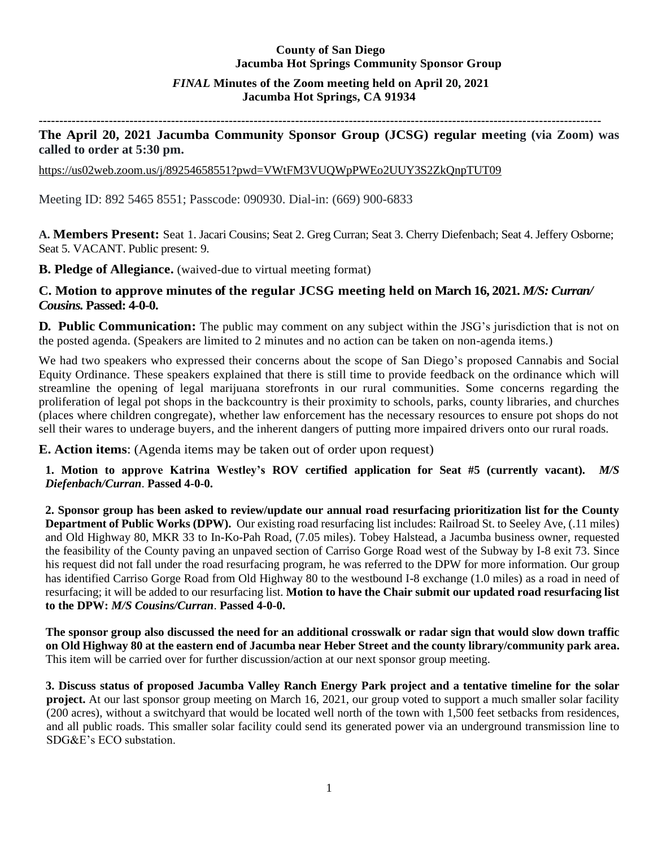# **County of San Diego Jacumba Hot Springs Community Sponsor Group**

# *FINAL* **Minutes of the Zoom meeting held on April 20, 2021 Jacumba Hot Springs, CA 91934**

**----------------------------------------------------------------------------------------------------------------------------------------**

# **The April 20, 2021 Jacumba Community Sponsor Group (JCSG) regular meeting (via Zoom) was called to order at 5:30 pm.**

<https://us02web.zoom.us/j/89254658551?pwd=VWtFM3VUQWpPWEo2UUY3S2ZkQnpTUT09>

Meeting ID: 892 5465 8551; Passcode: 090930. Dial-in: (669) 900-6833

**A. Members Present:** Seat 1. Jacari Cousins; Seat 2. Greg Curran; Seat 3. Cherry Diefenbach; Seat 4. Jeffery Osborne; Seat 5. VACANT. Public present: 9.

**B. Pledge of Allegiance.** (waived-due to virtual meeting format)

# **C. Motion to approve minutes of the regular JCSG meeting held on March 16, 2021.** *M/S: Curran/ Cousins.* **Passed: 4-0-0.**

**D. Public Communication:** The public may comment on any subject within the JSG's jurisdiction that is not on the posted agenda. (Speakers are limited to 2 minutes and no action can be taken on non-agenda items.)

We had two speakers who expressed their concerns about the scope of San Diego's proposed Cannabis and Social Equity Ordinance. These speakers explained that there is still time to provide feedback on the ordinance which will streamline the opening of legal marijuana storefronts in our rural communities. Some concerns regarding the proliferation of legal pot shops in the backcountry is their proximity to schools, parks, county libraries, and churches (places where children congregate), whether law enforcement has the necessary resources to ensure pot shops do not sell their wares to underage buyers, and the inherent dangers of putting more impaired drivers onto our rural roads.

**E. Action items**: (Agenda items may be taken out of order upon request)

**1. Motion to approve Katrina Westley's ROV certified application for Seat #5 (currently vacant).** *M/S Diefenbach/Curran*. **Passed 4-0-0.** 

**2. Sponsor group has been asked to review/update our annual road resurfacing prioritization list for the County Department of Public Works (DPW).** Our existing road resurfacing list includes: Railroad St. to Seeley Ave, (.11 miles) and Old Highway 80, MKR 33 to In-Ko-Pah Road, (7.05 miles). Tobey Halstead, a Jacumba business owner, requested the feasibility of the County paving an unpaved section of Carriso Gorge Road west of the Subway by I-8 exit 73. Since his request did not fall under the road resurfacing program, he was referred to the DPW for more information. Our group has identified Carriso Gorge Road from Old Highway 80 to the westbound I-8 exchange (1.0 miles) as a road in need of resurfacing; it will be added to our resurfacing list. **Motion to have the Chair submit our updated road resurfacing list to the DPW:** *M/S Cousins/Curran*. **Passed 4-0-0.** 

**The sponsor group also discussed the need for an additional crosswalk or radar sign that would slow down traffic on Old Highway 80 at the eastern end of Jacumba near Heber Street and the county library/community park area.** This item will be carried over for further discussion/action at our next sponsor group meeting.

 **3. Discuss status of proposed Jacumba Valley Ranch Energy Park project and a tentative timeline for the solar project.** At our last sponsor group meeting on March 16, 2021, our group voted to support a much smaller solar facility (200 acres), without a switchyard that would be located well north of the town with 1,500 feet setbacks from residences, and all public roads. This smaller solar facility could send its generated power via an underground transmission line to SDG&E's ECO substation.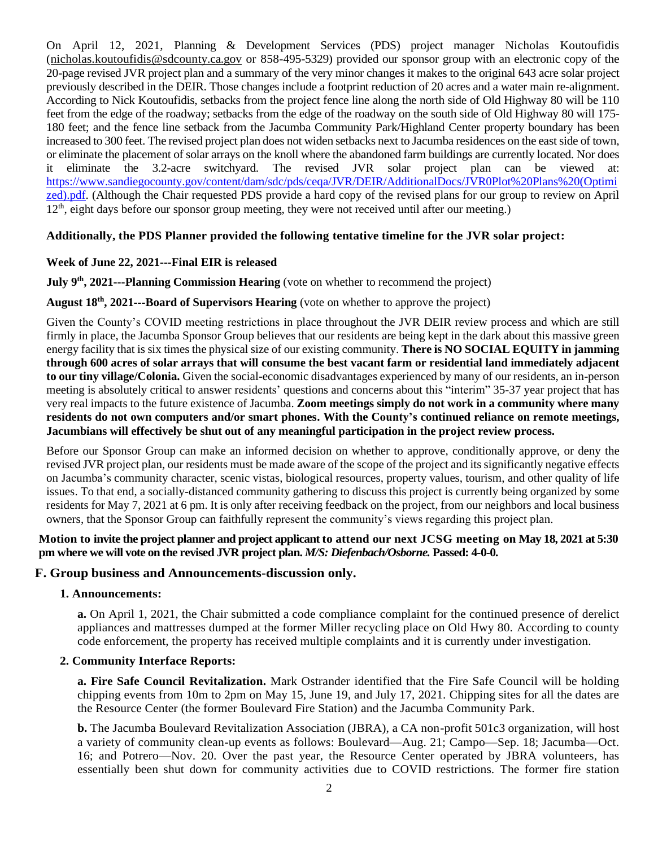On April 12, 2021, Planning & Development Services (PDS) project manager Nicholas Koutoufidis [\(nicholas.koutoufidis@sdcounty.ca.gov](mailto:nicholas.koutoufidis@sdcounty.ca.gov) or 858-495-5329) provided our sponsor group with an electronic copy of the 20-page revised JVR project plan and a summary of the very minor changes it makes to the original 643 acre solar project previously described in the DEIR. Those changes include a footprint reduction of 20 acres and a water main re-alignment. According to Nick Koutoufidis, setbacks from the project fence line along the north side of Old Highway 80 will be 110 feet from the edge of the roadway; setbacks from the edge of the roadway on the south side of Old Highway 80 will 175- 180 feet; and the fence line setback from the Jacumba Community Park/Highland Center property boundary has been increased to 300 feet. The revised project plan does not widen setbacks next to Jacumba residences on the east side of town, or eliminate the placement of solar arrays on the knoll where the abandoned farm buildings are currently located. Nor does it eliminate the 3.2-acre switchyard. The revised JVR solar project plan can be viewed at: [https://www.sandiegocounty.gov/content/dam/sdc/pds/ceqa/JVR/DEIR/AdditionalDocs/JVR0Plot%20Plans%20\(Optimi](https://www.sandiegocounty.gov/content/dam/sdc/pds/ceqa/JVR/DEIR/AdditionalDocs/JVR0Plot%20Plans%20(Optimized).pdf) [zed\).pdf.](https://www.sandiegocounty.gov/content/dam/sdc/pds/ceqa/JVR/DEIR/AdditionalDocs/JVR0Plot%20Plans%20(Optimized).pdf) (Although the Chair requested PDS provide a hard copy of the revised plans for our group to review on April  $12<sup>th</sup>$ , eight days before our sponsor group meeting, they were not received until after our meeting.)

## **Additionally, the PDS Planner provided the following tentative timeline for the JVR solar project:**

### **Week of June 22, 2021---Final EIR is released**

**July 9<sup>th</sup>, 2021---Planning Commission Hearing** (vote on whether to recommend the project)

### **August 18th, 2021---Board of Supervisors Hearing** (vote on whether to approve the project)

Given the County's COVID meeting restrictions in place throughout the JVR DEIR review process and which are still firmly in place, the Jacumba Sponsor Group believes that our residents are being kept in the dark about this massive green energy facility that is six times the physical size of our existing community. **There is NO SOCIAL EQUITY in jamming through 600 acres of solar arrays that will consume the best vacant farm or residential land immediately adjacent to our tiny village/Colonia.** Given the social-economic disadvantages experienced by many of our residents, an in-person meeting is absolutely critical to answer residents' questions and concerns about this "interim" 35-37 year project that has very real impacts to the future existence of Jacumba. **Zoom meetings simply do not work in a community where many residents do not own computers and/or smart phones. With the County's continued reliance on remote meetings, Jacumbians will effectively be shut out of any meaningful participation in the project review process.**

Before our Sponsor Group can make an informed decision on whether to approve, conditionally approve, or deny the revised JVR project plan, our residents must be made aware of the scope of the project and its significantly negative effects on Jacumba's community character, scenic vistas, biological resources, property values, tourism, and other quality of life issues. To that end, a socially-distanced community gathering to discuss this project is currently being organized by some residents for May 7, 2021 at 6 pm. It is only after receiving feedback on the project, from our neighbors and local business owners, that the Sponsor Group can faithfully represent the community's views regarding this project plan.

### **Motion to invite the project planner and project applicant to attend our next JCSG meeting on May 18, 2021 at 5:30 pm where we will vote on the revised JVR project plan.** *M/S: Diefenbach/Osborne.* **Passed: 4-0-0.**

### **F. Group business and Announcements-discussion only.**

#### **1. Announcements:**

**a.** On April 1, 2021, the Chair submitted a code compliance complaint for the continued presence of derelict appliances and mattresses dumped at the former Miller recycling place on Old Hwy 80. According to county code enforcement, the property has received multiple complaints and it is currently under investigation.

#### **2. Community Interface Reports:**

**a. Fire Safe Council Revitalization.** Mark Ostrander identified that the Fire Safe Council will be holding chipping events from 10m to 2pm on May 15, June 19, and July 17, 2021. Chipping sites for all the dates are the Resource Center (the former Boulevard Fire Station) and the Jacumba Community Park.

**b.** The Jacumba Boulevard Revitalization Association (JBRA), a CA non-profit 501c3 organization, will host a variety of community clean-up events as follows: Boulevard—Aug. 21; Campo—Sep. 18; Jacumba—Oct. 16; and Potrero—Nov. 20. Over the past year, the Resource Center operated by JBRA volunteers, has essentially been shut down for community activities due to COVID restrictions. The former fire station